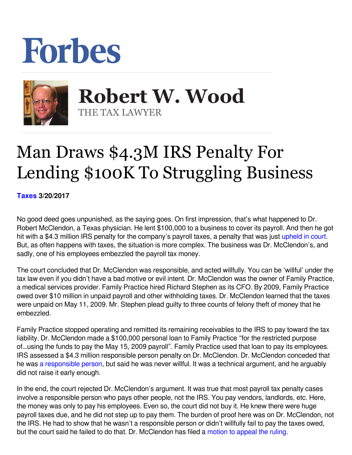## **Forbes**



**Robert W. Wood Robert W. Wood** THE TAX LAWYER THE TAX LAWYER

## Man Draws \$4.3M IRS Penalty For Lending \$100K To Struggling Business

**[Taxes](https://www.forbes.com/taxes) 3/20/2017** 

No good deed goes unpunished, as the saying goes. On first impression, that's what happened to Dr. Robert McClendon, a Texas physician. He lent \$100,000 to a business to cover its payroll. And then he got hit with a \$4.3 million IRS penalty for the company's payroll taxes, a penalty that was just [upheld in court](http://www.woodllp.com/Publications/Articles/pdf/McClendon.pdf). But, as often happens with taxes, the situation is more complex. The business was Dr. McClendon's, and sadly, one of his employees embezzled the payroll tax money.

The court concluded that Dr. McClendon was responsible, and acted willfully. You can be 'willful' under the tax law even if you didn't have a bad motive or evil intent. Dr. McClendon was the owner of Family Practice, a medical services provider. Family Practice hired Richard Stephen as its CFO. By 2009, Family Practice owed over \$10 million in unpaid payroll and other withholding taxes. Dr. McClendon learned that the taxes were unpaid on May 11, 2009. Mr. Stephen plead guilty to three counts of felony theft of money that he embezzled.

Family Practice stopped operating and remitted its remaining receivables to the IRS to pay toward the tax liability. Dr. McClendon made a \$100,000 personal loan to Family Practice "for the restricted purpose of…using the funds to pay the May 15, 2009 payroll". Family Practice used that loan to pay its employees. IRS assessed a \$4.3 million responsible person penalty on Dr. McClendon. Dr. McClendon conceded that he was [a responsible person,](https://www.forbes.com/sites/robertwood/2012/09/26/responsible-willful-two-irs-labels-you-dont-want/#531bc43c5995) but said he was never willful. It was a technical argument, and he arguably did not raise it early enough.

In the end, the court rejected Dr. McClendon's argument. It was true that most payroll tax penalty cases involve a responsible person who pays other people, not the IRS. You pay vendors, landlords, etc. Here, the money was only to pay his employees. Even so, the court did not buy it. He knew there were huge payroll taxes due, and he did not step up to pay them. The burden of proof here was on Dr. McClendon, not the IRS. He had to show that he wasn't a responsible person or didn't willfully fail to pay the taxes owed, but the court said he failed to do that. Dr. McClendon has filed a motion to appeal the ruling.